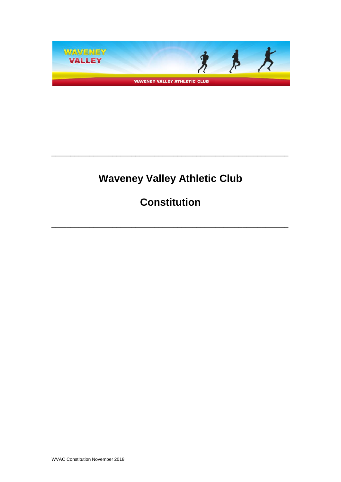

# **Waveney Valley Athletic Club**

\_\_\_\_\_\_\_\_\_\_\_\_\_\_\_\_\_\_\_\_\_\_\_\_\_\_\_\_\_\_\_\_\_\_\_\_\_\_\_\_\_\_\_\_\_\_\_\_\_\_\_\_\_\_\_\_\_\_\_\_\_\_

**Constitution**

\_\_\_\_\_\_\_\_\_\_\_\_\_\_\_\_\_\_\_\_\_\_\_\_\_\_\_\_\_\_\_\_\_\_\_\_\_\_\_\_\_\_\_\_\_\_\_\_\_\_\_\_\_\_\_\_\_\_\_\_\_\_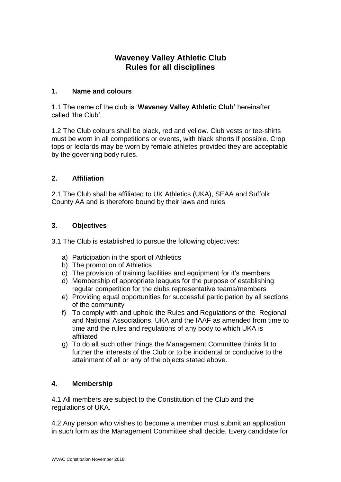# **Waveney Valley Athletic Club Rules for all disciplines**

## **1. Name and colours**

1.1 The name of the club is '**Waveney Valley Athletic Club**' hereinafter called 'the Club'.

1.2 The Club colours shall be black, red and yellow. Club vests or tee-shirts must be worn in all competitions or events, with black shorts if possible. Crop tops or leotards may be worn by female athletes provided they are acceptable by the governing body rules.

# **2. Affiliation**

2.1 The Club shall be affiliated to UK Athletics (UKA), SEAA and Suffolk County AA and is therefore bound by their laws and rules

## **3. Objectives**

3.1 The Club is established to pursue the following objectives:

- a) Participation in the sport of Athletics
- b) The promotion of Athletics
- c) The provision of training facilities and equipment for it's members
- d) Membership of appropriate leagues for the purpose of establishing regular competition for the clubs representative teams/members
- e) Providing equal opportunities for successful participation by all sections of the community
- f) To comply with and uphold the Rules and Regulations of the Regional and National Associations, UKA and the IAAF as amended from time to time and the rules and regulations of any body to which UKA is affiliated
- g) To do all such other things the Management Committee thinks fit to further the interests of the Club or to be incidental or conducive to the attainment of all or any of the objects stated above.

#### **4. Membership**

4.1 All members are subject to the Constitution of the Club and the regulations of UKA.

4.2 Any person who wishes to become a member must submit an application in such form as the Management Committee shall decide. Every candidate for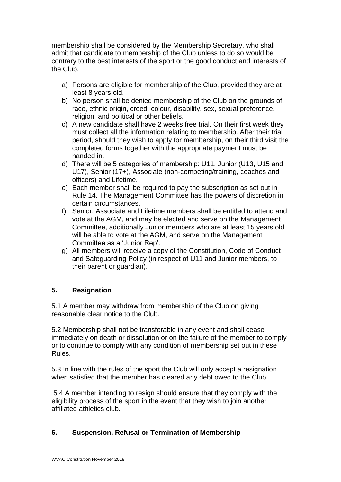membership shall be considered by the Membership Secretary, who shall admit that candidate to membership of the Club unless to do so would be contrary to the best interests of the sport or the good conduct and interests of the Club.

- a) Persons are eligible for membership of the Club, provided they are at least 8 years old.
- b) No person shall be denied membership of the Club on the grounds of race, ethnic origin, creed, colour, disability, sex, sexual preference, religion, and political or other beliefs.
- c) A new candidate shall have 2 weeks free trial. On their first week they must collect all the information relating to membership. After their trial period, should they wish to apply for membership, on their third visit the completed forms together with the appropriate payment must be handed in.
- d) There will be 5 categories of membership: U11, Junior (U13, U15 and U17), Senior (17+), Associate (non-competing/training, coaches and officers) and Lifetime.
- e) Each member shall be required to pay the subscription as set out in Rule 14. The Management Committee has the powers of discretion in certain circumstances.
- f) Senior, Associate and Lifetime members shall be entitled to attend and vote at the AGM, and may be elected and serve on the Management Committee, additionally Junior members who are at least 15 years old will be able to vote at the AGM, and serve on the Management Committee as a 'Junior Rep'.
- g) All members will receive a copy of the Constitution, Code of Conduct and Safeguarding Policy (in respect of U11 and Junior members, to their parent or guardian).

# **5. Resignation**

5.1 A member may withdraw from membership of the Club on giving reasonable clear notice to the Club.

5.2 Membership shall not be transferable in any event and shall cease immediately on death or dissolution or on the failure of the member to comply or to continue to comply with any condition of membership set out in these Rules.

5.3 In line with the rules of the sport the Club will only accept a resignation when satisfied that the member has cleared any debt owed to the Club.

5.4 A member intending to resign should ensure that they comply with the eligibility process of the sport in the event that they wish to join another affiliated athletics club.

# **6. Suspension, Refusal or Termination of Membership**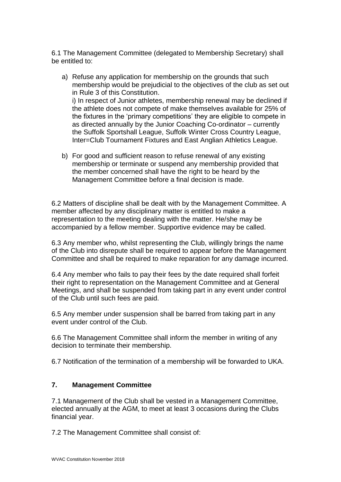6.1 The Management Committee (delegated to Membership Secretary) shall be entitled to:

- a) Refuse any application for membership on the grounds that such membership would be prejudicial to the objectives of the club as set out in Rule 3 of this Constitution. i) In respect of Junior athletes, membership renewal may be declined if the athlete does not compete of make themselves available for 25% of the fixtures in the 'primary competitions' they are eligible to compete in as directed annually by the Junior Coaching Co-ordinator – currently the Suffolk Sportshall League, Suffolk Winter Cross Country League, Inter=Club Tournament Fixtures and East Anglian Athletics League.
- b) For good and sufficient reason to refuse renewal of any existing membership or terminate or suspend any membership provided that the member concerned shall have the right to be heard by the Management Committee before a final decision is made.

6.2 Matters of discipline shall be dealt with by the Management Committee. A member affected by any disciplinary matter is entitled to make a representation to the meeting dealing with the matter. He/she may be accompanied by a fellow member. Supportive evidence may be called.

6.3 Any member who, whilst representing the Club, willingly brings the name of the Club into disrepute shall be required to appear before the Management Committee and shall be required to make reparation for any damage incurred.

6.4 Any member who fails to pay their fees by the date required shall forfeit their right to representation on the Management Committee and at General Meetings, and shall be suspended from taking part in any event under control of the Club until such fees are paid.

6.5 Any member under suspension shall be barred from taking part in any event under control of the Club.

6.6 The Management Committee shall inform the member in writing of any decision to terminate their membership.

6.7 Notification of the termination of a membership will be forwarded to UKA.

# **7. Management Committee**

7.1 Management of the Club shall be vested in a Management Committee, elected annually at the AGM, to meet at least 3 occasions during the Clubs financial year.

7.2 The Management Committee shall consist of: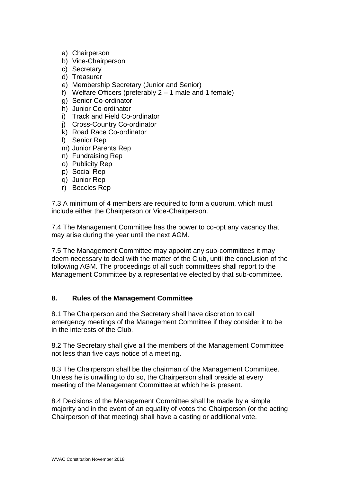- a) Chairperson
- b) Vice-Chairperson
- c) Secretary
- d) Treasurer
- e) Membership Secretary (Junior and Senior)
- f) Welfare Officers (preferably  $2 1$  male and 1 female)
- g) Senior Co-ordinator
- h) Junior Co-ordinator
- i) Track and Field Co-ordinator
- j) Cross-Country Co-ordinator
- k) Road Race Co-ordinator
- l) Senior Rep
- m) Junior Parents Rep
- n) Fundraising Rep
- o) Publicity Rep
- p) Social Rep
- q) Junior Rep
- r) Beccles Rep

7.3 A minimum of 4 members are required to form a quorum, which must include either the Chairperson or Vice-Chairperson.

7.4 The Management Committee has the power to co-opt any vacancy that may arise during the year until the next AGM.

7.5 The Management Committee may appoint any sub-committees it may deem necessary to deal with the matter of the Club, until the conclusion of the following AGM. The proceedings of all such committees shall report to the Management Committee by a representative elected by that sub-committee.

# **8. Rules of the Management Committee**

8.1 The Chairperson and the Secretary shall have discretion to call emergency meetings of the Management Committee if they consider it to be in the interests of the Club.

8.2 The Secretary shall give all the members of the Management Committee not less than five days notice of a meeting.

8.3 The Chairperson shall be the chairman of the Management Committee. Unless he is unwilling to do so, the Chairperson shall preside at every meeting of the Management Committee at which he is present.

8.4 Decisions of the Management Committee shall be made by a simple majority and in the event of an equality of votes the Chairperson (or the acting Chairperson of that meeting) shall have a casting or additional vote.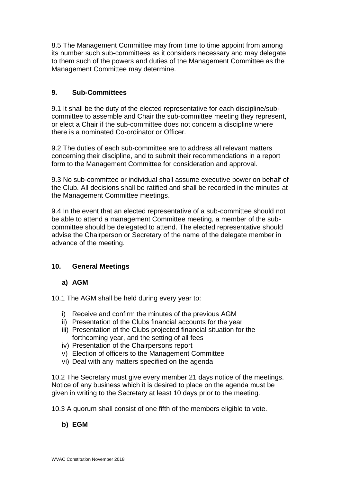8.5 The Management Committee may from time to time appoint from among its number such sub-committees as it considers necessary and may delegate to them such of the powers and duties of the Management Committee as the Management Committee may determine.

## **9. Sub-Committees**

9.1 It shall be the duty of the elected representative for each discipline/subcommittee to assemble and Chair the sub-committee meeting they represent, or elect a Chair if the sub-committee does not concern a discipline where there is a nominated Co-ordinator or Officer.

9.2 The duties of each sub-committee are to address all relevant matters concerning their discipline, and to submit their recommendations in a report form to the Management Committee for consideration and approval.

9.3 No sub-committee or individual shall assume executive power on behalf of the Club. All decisions shall be ratified and shall be recorded in the minutes at the Management Committee meetings.

9.4 In the event that an elected representative of a sub-committee should not be able to attend a management Committee meeting, a member of the subcommittee should be delegated to attend. The elected representative should advise the Chairperson or Secretary of the name of the delegate member in advance of the meeting.

# **10. General Meetings**

#### **a) AGM**

10.1 The AGM shall be held during every year to:

- i) Receive and confirm the minutes of the previous AGM
- ii) Presentation of the Clubs financial accounts for the year
- iii) Presentation of the Clubs projected financial situation for the forthcoming year, and the setting of all fees
- iv) Presentation of the Chairpersons report
- v) Election of officers to the Management Committee
- vi) Deal with any matters specified on the agenda

10.2 The Secretary must give every member 21 days notice of the meetings. Notice of any business which it is desired to place on the agenda must be given in writing to the Secretary at least 10 days prior to the meeting.

10.3 A quorum shall consist of one fifth of the members eligible to vote.

**b) EGM**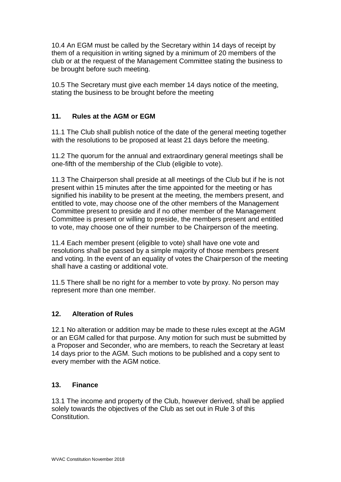10.4 An EGM must be called by the Secretary within 14 days of receipt by them of a requisition in writing signed by a minimum of 20 members of the club or at the request of the Management Committee stating the business to be brought before such meeting.

10.5 The Secretary must give each member 14 days notice of the meeting, stating the business to be brought before the meeting

# **11. Rules at the AGM or EGM**

11.1 The Club shall publish notice of the date of the general meeting together with the resolutions to be proposed at least 21 days before the meeting.

11.2 The quorum for the annual and extraordinary general meetings shall be one-fifth of the membership of the Club (eligible to vote).

11.3 The Chairperson shall preside at all meetings of the Club but if he is not present within 15 minutes after the time appointed for the meeting or has signified his inability to be present at the meeting, the members present, and entitled to vote, may choose one of the other members of the Management Committee present to preside and if no other member of the Management Committee is present or willing to preside, the members present and entitled to vote, may choose one of their number to be Chairperson of the meeting.

11.4 Each member present (eligible to vote) shall have one vote and resolutions shall be passed by a simple majority of those members present and voting. In the event of an equality of votes the Chairperson of the meeting shall have a casting or additional vote.

11.5 There shall be no right for a member to vote by proxy. No person may represent more than one member.

#### **12. Alteration of Rules**

12.1 No alteration or addition may be made to these rules except at the AGM or an EGM called for that purpose. Any motion for such must be submitted by a Proposer and Seconder, who are members, to reach the Secretary at least 14 days prior to the AGM. Such motions to be published and a copy sent to every member with the AGM notice.

#### **13. Finance**

13.1 The income and property of the Club, however derived, shall be applied solely towards the objectives of the Club as set out in Rule 3 of this Constitution.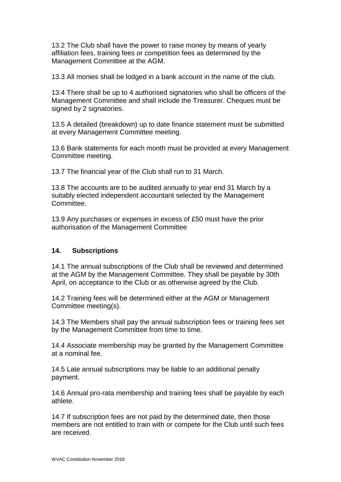13.2 The Club shall have the power to raise money by means of yearly affiliation fees, training fees or competition fees as determined by the Management Committee at the AGM.

13.3 All monies shall be lodged in a bank account in the name of the club.

13.4 There shall be up to 4 authorised signatories who shall be officers of the Management Committee and shall include the Treasurer. Cheques must be signed by 2 signatories.

13.5 A detailed (breakdown) up to date finance statement must be submitted at every Management Committee meeting.

13.6 Bank statements for each month must be provided at every Management Committee meeting.

13.7 The financial year of the Club shall run to 31 March.

13.8 The accounts are to be audited annually to year end 31 March by a suitably elected independent accountant selected by the Management Committee.

13.9 Any purchases or expenses in excess of £50 must have the prior authorisation of the Management Committee

#### **14. Subscriptions**

14.1 The annual subscriptions of the Club shall be reviewed and determined at the AGM by the Management Committee. They shall be payable by 30th April, on acceptance to the Club or as otherwise agreed by the Club.

14.2 Training fees will be determined either at the AGM or Management Committee meeting(s).

14.3 The Members shall pay the annual subscription fees or training fees set by the Management Committee from time to time.

14.4 Associate membership may be granted by the Management Committee at a nominal fee.

14.5 Late annual subscriptions may be liable to an additional penalty payment.

14.6 Annual pro-rata membership and training fees shall be payable by each athlete.

14.7 If subscription fees are not paid by the determined date, then those members are not entitled to train with or compete for the Club until such fees are received.